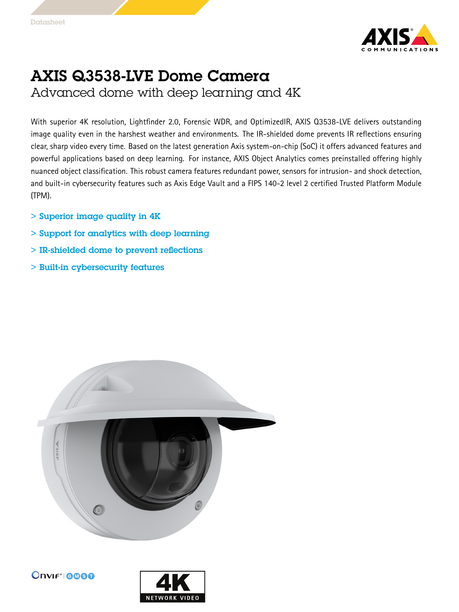

## AXIS Q3538-LVE Dome Camera

Advanced dome with deep learning and 4K

With superior 4K resolution, Lightfinder 2.0, Forensic WDR, and OptimizedIR, AXIS Q3538-LVE delivers outstanding image quality even in the harshest weather and environments. The IR-shielded dome prevents IR reflections ensuring clear, sharp video every time. Based on the latest generation Axis system-on-chip (SoC) it offers advanced features and powerful applications based on deep learning. For instance, AXIS Object Analytics comes preinstalled offering highly nuanced object classification. This robust camera features redundant power, sensors for intrusion- and shock detection, and built-in cybersecurity features such as Axis Edge Vault and <sup>a</sup> FIPS 140-2 level 2 certified Trusted Platform Module (TPM).

- > Superior image quality in 4K
- > Support for analytics with deep learning
- > IR-shielded dome to prevent reflections
- > Built-in cybersecurity features



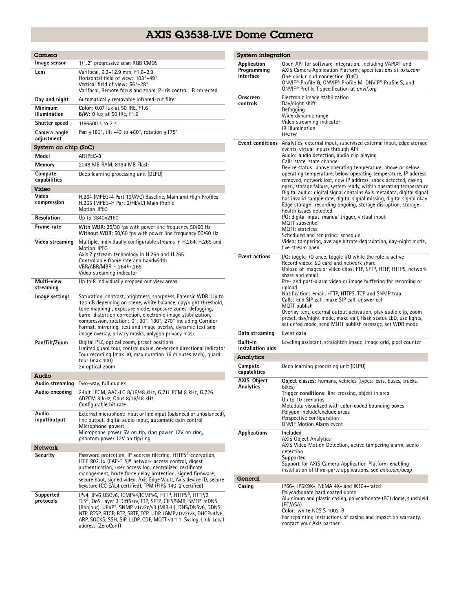## AXIS Q3538-LVE Dome Camera

| Camera                     |                                                                                                                                                                                                                                                     |
|----------------------------|-----------------------------------------------------------------------------------------------------------------------------------------------------------------------------------------------------------------------------------------------------|
| lmage sensor               | 1/1.2" progressive scan RGB CMOS                                                                                                                                                                                                                    |
| Lens                       | Varifocal, 6.2-12.9 mm, F1.6-2.9                                                                                                                                                                                                                    |
|                            | Horizontal field of view: 103°-49°                                                                                                                                                                                                                  |
|                            | Vertical field of view: 56°-28°                                                                                                                                                                                                                     |
|                            | Varifocal, Remote focus and zoom, P-Iris control, IR corrected                                                                                                                                                                                      |
| Day and night              | Automatically removable infrared-cut filter                                                                                                                                                                                                         |
| Minimum<br>illumination    | Color: 0.07 lux at 50 IRE, F1.6<br><b>B/W:</b> 0 lux at 50 IRE, F1.6                                                                                                                                                                                |
| Shutter speed              | $1/66500$ s to 2 s                                                                                                                                                                                                                                  |
| Camera angle<br>adjustment | Pan ±180°, tilt -43 to +80°, rotation ±175°                                                                                                                                                                                                         |
| System on chip (SoC)       |                                                                                                                                                                                                                                                     |
| Model                      | ARTPEC-8                                                                                                                                                                                                                                            |
| Memory                     | 2048 MB RAM, 8194 MB Flash                                                                                                                                                                                                                          |
| Compute<br>capabilities    | Deep learning processing unit (DLPU)                                                                                                                                                                                                                |
| Video                      |                                                                                                                                                                                                                                                     |
| Video                      | H.264 (MPEG-4 Part 10/AVC) Baseline, Main and High Profiles                                                                                                                                                                                         |
| compression                | H.265 (MPEG-H Part 2/HEVC) Main Profile<br><b>Motion JPEG</b>                                                                                                                                                                                       |
| Resolution                 | Up to 3840x2160                                                                                                                                                                                                                                     |
| Frame rate                 | With WDR: 25/30 fps with power line frequency 50/60 Hz<br>Without WDR: 50/60 fps with power line frequency 50/60 Hz                                                                                                                                 |
| Video streaming            | Multiple, individually configurable streams in H.264, H.265 and                                                                                                                                                                                     |
|                            | <b>Motion JPEG</b><br>Axis Zipstream technology in H.264 and H.265                                                                                                                                                                                  |
|                            | Controllable frame rate and bandwidth                                                                                                                                                                                                               |
|                            | VBR/ABR/MBR H.264/H.265                                                                                                                                                                                                                             |
|                            | Video streaming indicator                                                                                                                                                                                                                           |
| Multi-view<br>streaming    | Up to 8 individually cropped out view areas                                                                                                                                                                                                         |
| Image settings             | Saturation, contrast, brightness, sharpness, Forensic WDR: Up to<br>120 dB depending on scene, white balance, day/night threshold,<br>tone mapping, exposure mode, exposure zones, defogging,                                                       |
|                            | barrel distortion correction, electronic image stabilization,<br>compression, rotation: 0°, 90°, 180°, 270° including Corridor<br>Format, mirroring, text and image overlay, dynamic text and<br>image overlay, privacy masks, polygon privacy mask |
| Pan/Tilt/Zoom              | Digital PTZ, optical zoom, preset positions<br>Limited guard tour, control queue, on-screen directional indicator                                                                                                                                   |
|                            | Tour recording (max 10, max duration 16 minutes each), quard<br>tour (max 100)                                                                                                                                                                      |
|                            | 2x optical zoom                                                                                                                                                                                                                                     |
| Audio                      |                                                                                                                                                                                                                                                     |
| Audio streaming            | Two-way, full duplex                                                                                                                                                                                                                                |
| Audio encoding             | 24bit LPCM, AAC-LC 8/16/48 kHz, G.711 PCM 8 kHz, G.726<br>ADPCM 8 kHz, Opus 8/16/48 kHz<br>Configurable bit rate                                                                                                                                    |
| Audio                      | External microphone input or line input (balanced or unbalanced),                                                                                                                                                                                   |
| input/output               | line output, digital audio input, automatic gain control                                                                                                                                                                                            |
|                            | Microphone power:<br>Microphone power 5V on tip, ring power 12V on ring,                                                                                                                                                                            |
|                            | phantom power 12V on tip/ring                                                                                                                                                                                                                       |
| Network                    |                                                                                                                                                                                                                                                     |
| Security                   | Password protection, IP address filtering, HTTPS <sup>a</sup> encryption,                                                                                                                                                                           |
|                            | IEEE 802.1x (EAP-TLS) <sup>a</sup> network access control, digest<br>authentication, user access log, centralized certificate                                                                                                                       |
|                            | management, brute force delay protection, signed firmware,                                                                                                                                                                                          |
|                            | secure boot, signed video, Axis Edge Vault, Axis device ID, secure                                                                                                                                                                                  |
|                            | keystore (CC EAL4 certified), TPM (FIPS 140-2 certified)                                                                                                                                                                                            |
| Supported<br>protocols     | IPv4, IPv6 USGv6, ICMPv4/ICMPv6, HTTP, HTTPS <sup>a</sup> , HTTP/2,<br>TLSª, QoS Layer 3 DiffServ, FTP, SFTP, CIFS/SMB, SMTP, mDNS                                                                                                                  |
|                            | (Bonjour), UPnP®, SNMP v1/v2c/v3 (MIB-II), DNS/DNSv6, DDNS,                                                                                                                                                                                         |
|                            | NTP, RTSP, RTCP, RTP, SRTP, TCP, UDP, IGMPv1/v2/v3, DHCPv4/v6,                                                                                                                                                                                      |
|                            | ARP, SOCKS, SSH, SIP, LLDP, CDP, MQTT v3.1.1, Syslog, Link-Local<br>address (ZeroConf)                                                                                                                                                              |

| System integration<br>Application<br>Programming<br><b>Interface</b> | Open API for software integration, including VAPIX <sup>®</sup> and<br>AXIS Camera Application Platform; specifications at <i>axis.com</i><br>One-click cloud connection (O3C)<br>ONVIF® Profile G, ONVIF® Profile M, ONVIF® Profile S, and                                                                                                                                                                                                                                                                                                                                                                                                                                                                                                                                                                                                                                                                                                                                           |
|----------------------------------------------------------------------|---------------------------------------------------------------------------------------------------------------------------------------------------------------------------------------------------------------------------------------------------------------------------------------------------------------------------------------------------------------------------------------------------------------------------------------------------------------------------------------------------------------------------------------------------------------------------------------------------------------------------------------------------------------------------------------------------------------------------------------------------------------------------------------------------------------------------------------------------------------------------------------------------------------------------------------------------------------------------------------|
| Onscreen<br>controls                                                 | ONVIF <sup>®</sup> Profile T specification at onvif.org<br>Electronic image stabilization<br>Day/night shift                                                                                                                                                                                                                                                                                                                                                                                                                                                                                                                                                                                                                                                                                                                                                                                                                                                                          |
|                                                                      | Defogging<br>Wide dynamic range<br>Video streaming indicator<br>IR illumination<br>Heater                                                                                                                                                                                                                                                                                                                                                                                                                                                                                                                                                                                                                                                                                                                                                                                                                                                                                             |
| Event conditions<br><b>Event actions</b>                             | Analytics, external input, supervised external input, edge storage<br>events, virtual inputs through API<br>Audio: audio detection, audio clip playing<br>Call: state, state change<br>Device status: above operating temperature, above or below<br>operating temperature, below operating temperature, IP address<br>removed, network lost, new IP address, shock detected, casing<br>open, storage failure, system ready, within operating temperature<br>Digital audio: digital signal contains Axis metadata, digital signal<br>has invalid sample rate, digital signal missing, digital signal okay<br>Edge storage: recording ongoing, storage disruption, storage<br>health issues detected<br>I/O: digital input, manual trigger, virtual input<br>MOTT subscribe<br>MQTT: stateless<br>Scheduled and recurring: schedule<br>Video: tampering, average bitrate degradation, day-night mode,<br>live stream open<br>I/O: toggle I/O once, toggle I/O while the rule is active |
|                                                                      | Record video: SD card and network share<br>Upload of images or video clips: FTP, SFTP, HTTP, HTTPS, network<br>share and email<br>Pre- and post-alarm video or image buffering for recording or<br>upload<br>Notification: email, HTTP, HTTPS, TCP and SNMP trap<br>Calls: end SIP call, make SIP call, answer call<br>MQTT publish<br>Overlay text, external output activation, play audio clip, zoom<br>preset, day/night mode, make call, flash status LED, use lights,<br>set defog mode, send MQTT publish message, set WDR mode                                                                                                                                                                                                                                                                                                                                                                                                                                                 |
| Data streaming                                                       | Event data                                                                                                                                                                                                                                                                                                                                                                                                                                                                                                                                                                                                                                                                                                                                                                                                                                                                                                                                                                            |
| Built-in<br>installation aids                                        | Leveling assistant, straighten image, image grid, pixel counter                                                                                                                                                                                                                                                                                                                                                                                                                                                                                                                                                                                                                                                                                                                                                                                                                                                                                                                       |
| Analytics                                                            |                                                                                                                                                                                                                                                                                                                                                                                                                                                                                                                                                                                                                                                                                                                                                                                                                                                                                                                                                                                       |
| Compute<br>capabilities                                              | Deep learning processing unit (DLPU)                                                                                                                                                                                                                                                                                                                                                                                                                                                                                                                                                                                                                                                                                                                                                                                                                                                                                                                                                  |
| <b>AXIS Object</b><br>Analytics                                      | Object classes: humans, vehicles (types: cars, buses, trucks,<br>bikes)                                                                                                                                                                                                                                                                                                                                                                                                                                                                                                                                                                                                                                                                                                                                                                                                                                                                                                               |
|                                                                      | Trigger conditions: line crossing, object in area<br>Up to 10 scenarios<br>Metadata visualized with color-coded bounding boxes<br>Polygon include/exclude areas<br>Perspective configuration<br><b>ONVIF Motion Alarm event</b>                                                                                                                                                                                                                                                                                                                                                                                                                                                                                                                                                                                                                                                                                                                                                       |
| <b>Applications</b>                                                  | Included<br><b>AXIS Object Analytics</b><br>AXIS Video Motion Detection, active tampering alarm, audio<br>detection<br>Supported<br>Support for AXIS Camera Application Platform enabling<br>installation of third-party applications, see <i>axis.com/acap</i>                                                                                                                                                                                                                                                                                                                                                                                                                                                                                                                                                                                                                                                                                                                       |
| General                                                              |                                                                                                                                                                                                                                                                                                                                                                                                                                                                                                                                                                                                                                                                                                                                                                                                                                                                                                                                                                                       |
| Casing                                                               | IP66-, IP6K9K-, NEMA 4X- and IK10+-rated<br>Polycarbonate hard coated dome<br>Aluminum and plastic casing, polycarbonate (PC) dome, sunshield<br>(PC/ASA)<br>Color: white NCS S 1002-B<br>For repainting instructions of casing and impact on warranty,<br>contact your Axis partner.                                                                                                                                                                                                                                                                                                                                                                                                                                                                                                                                                                                                                                                                                                 |